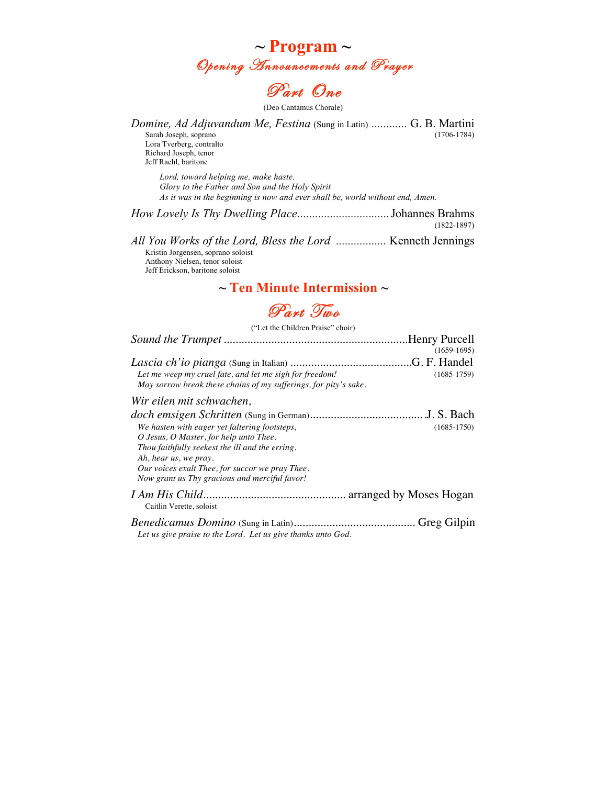



(Deo Cantamus Chorale)

*Domine, Ad Adjuvandum Me, Festina* (Sung in Latin) *............* G. B. Martini Sarah Joseph, soprano (1706-1784) Lora Tverberg, contralto Richard Joseph, tenor Jeff Raehl, baritone *Lord, toward helping me, make haste.* 

*Glory to the Father and Son and the Holy Spirit As it was in the beginning is now and ever shall be, world without end, Amen.*

*How Lovely Is Thy Dwelling Place...............................*Johannes Brahms (1822-1897)

*All You Works of the Lord, Bless the Lord .................* Kenneth Jennings Kristin Jorgensen, soprano soloist Anthony Nielsen, tenor soloist Jeff Erickson, baritone soloist

### **~ Ten Minute Intermission ~**



("Let the Children Praise" choir)

|                                                                  | $(1659-1695)$ |
|------------------------------------------------------------------|---------------|
|                                                                  |               |
| Let me weep my cruel fate, and let me sigh for freedom!          | $(1685-1759)$ |
| May sorrow break these chains of my sufferings, for pity's sake. |               |
| Wir eilen mit schwachen,                                         |               |
|                                                                  |               |
| We hasten with eager yet faltering footsteps,                    | $(1685-1750)$ |
| O Jesus, O Master, for help unto Thee.                           |               |
| Thou faithfully seekest the ill and the erring.                  |               |
| Ah, hear us, we pray.                                            |               |
| Our voices exalt Thee, for succor we pray Thee.                  |               |
| Now grant us Thy gracious and merciful favor!                    |               |
|                                                                  |               |

Caitlin Verette, soloist

*Benedicamus Domino* (Sung in Latin)*.........................................* Greg Gilpin *Let us give praise to the Lord. Let us give thanks unto God.*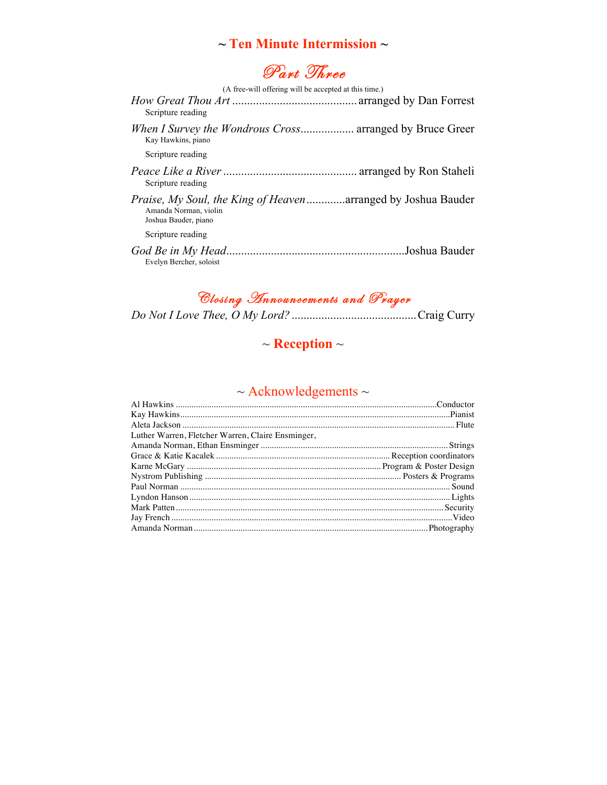### **~ Ten Minute Intermission ~**

# Part Three

| (A free-will offering will be accepted at this time.)                                                                 |  |
|-----------------------------------------------------------------------------------------------------------------------|--|
| Scripture reading                                                                                                     |  |
| When I Survey the Wondrous Cross arranged by Bruce Greer<br>Kay Hawkins, piano                                        |  |
| Scripture reading                                                                                                     |  |
| Scripture reading                                                                                                     |  |
| <i>Praise, My Soul, the King of Heaven</i> arranged by Joshua Bauder<br>Amanda Norman, violin<br>Joshua Bauder, piano |  |
| Scripture reading                                                                                                     |  |
| Evelyn Bercher, soloist                                                                                               |  |

### Closing Announcements and Prayer

## ~ **Reception** ~

## $\sim$  Acknowledgements  $\sim$

| Luther Warren, Fletcher Warren, Claire Ensminger, |  |
|---------------------------------------------------|--|
|                                                   |  |
|                                                   |  |
|                                                   |  |
|                                                   |  |
|                                                   |  |
|                                                   |  |
|                                                   |  |
|                                                   |  |
|                                                   |  |